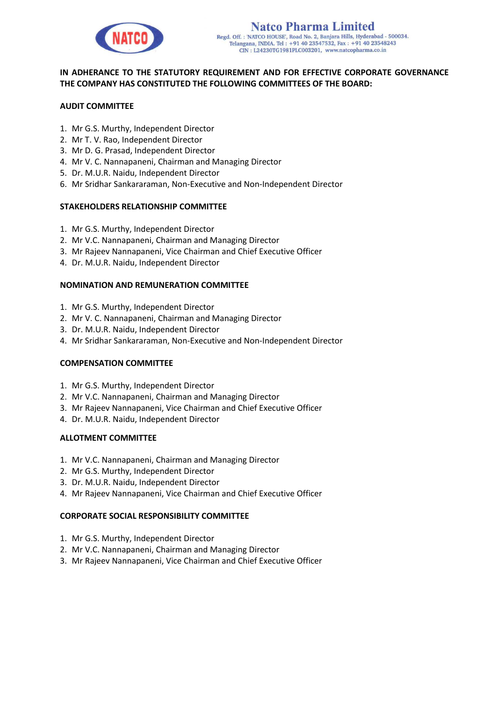

# **IN ADHERANCE TO THE STATUTORY REQUIREMENT AND FOR EFFECTIVE CORPORATE GOVERNANCE THE COMPANY HAS CONSTITUTED THE FOLLOWING COMMITTEES OF THE BOARD:**

## **AUDIT COMMITTEE**

- 1. Mr G.S. Murthy, Independent Director
- 2. Mr T. V. Rao, Independent Director
- 3. Mr D. G. Prasad, Independent Director
- 4. Mr V. C. Nannapaneni, Chairman and Managing Director
- 5. Dr. M.U.R. Naidu, Independent Director
- 6. Mr Sridhar Sankararaman, Non-Executive and Non-Independent Director

### **STAKEHOLDERS RELATIONSHIP COMMITTEE**

- 1. Mr G.S. Murthy, Independent Director
- 2. Mr V.C. Nannapaneni, Chairman and Managing Director
- 3. Mr Rajeev Nannapaneni, Vice Chairman and Chief Executive Officer
- 4. Dr. M.U.R. Naidu, Independent Director

### **NOMINATION AND REMUNERATION COMMITTEE**

- 1. Mr G.S. Murthy, Independent Director
- 2. Mr V. C. Nannapaneni, Chairman and Managing Director
- 3. Dr. M.U.R. Naidu, Independent Director
- 4. Mr Sridhar Sankararaman, Non-Executive and Non-Independent Director

### **COMPENSATION COMMITTEE**

- 1. Mr G.S. Murthy, Independent Director
- 2. Mr V.C. Nannapaneni, Chairman and Managing Director
- 3. Mr Rajeev Nannapaneni, Vice Chairman and Chief Executive Officer
- 4. Dr. M.U.R. Naidu, Independent Director

### **ALLOTMENT COMMITTEE**

- 1. Mr V.C. Nannapaneni, Chairman and Managing Director
- 2. Mr G.S. Murthy, Independent Director
- 3. Dr. M.U.R. Naidu, Independent Director
- 4. Mr Rajeev Nannapaneni, Vice Chairman and Chief Executive Officer

### **CORPORATE SOCIAL RESPONSIBILITY COMMITTEE**

- 1. Mr G.S. Murthy, Independent Director
- 2. Mr V.C. Nannapaneni, Chairman and Managing Director
- 3. Mr Rajeev Nannapaneni, Vice Chairman and Chief Executive Officer